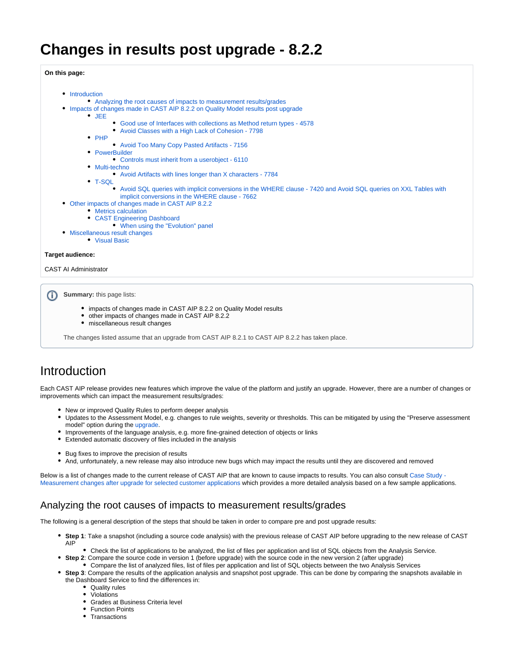# **Changes in results post upgrade - 8.2.2**

**On this page:**

- [Introduction](#page-0-0)
	- [Analyzing the root causes of impacts to measurement results/grades](#page-0-1)
- [Impacts of changes made in CAST AIP 8.2.2 on Quality Model results post upgrade](#page-1-0)
	- $\bullet$  [JEE](#page-1-1)
		- [Good use of Interfaces with collections as Method return types 4578](#page-1-2)
		- [Avoid Classes with a High Lack of Cohesion 7798](#page-1-3)
		- $\cdot$  [PHP](#page-1-4)
			- [Avoid Too Many Copy Pasted Artifacts 7156](#page-1-5)
		- [PowerBuilder](#page-1-6)
			- [Controls must inherit from a userobject 6110](#page-1-7)
		- [Multi-techno](#page-1-8)
			- [Avoid Artifacts with lines longer than X characters 7784](#page-1-9)
		- [T-SQL](#page-2-0)
			- [Avoid SQL queries with implicit conversions in the WHERE clause 7420 and Avoid SQL queries on XXL Tables with](#page-2-1)  [implicit conversions in the WHERE clause - 7662](#page-2-1)
- [Other impacts of changes made in CAST AIP 8.2.2](#page-2-2)
	- [Metrics calculation](#page-2-3)
	- [CAST Engineering Dashboard](#page-2-4)
	- [When using the "Evolution" panel](#page-2-5)
- [Miscellaneous result changes](#page-2-6)
	- [Visual Basic](#page-2-7)

#### **Target audience:**

ന

#### CAST AI Administrator

**Summary:** this page lists:

- impacts of changes made in CAST AIP 8.2.2 on Quality Model results
- other impacts of changes made in CAST AIP 8.2.2
- miscellaneous result changes

The changes listed assume that an upgrade from CAST AIP 8.2.1 to CAST AIP 8.2.2 has taken place.

## <span id="page-0-0"></span>Introduction

Each CAST AIP release provides new features which improve the value of the platform and justify an upgrade. However, there are a number of changes or improvements which can impact the measurement results/grades:

- New or improved Quality Rules to perform deeper analysis
- Updates to the Assessment Model, e.g. changes to rule weights, severity or thresholds. This can be mitigated by using the "Preserve assessment model" option during the [upgrade.](https://doc.castsoftware.com/display/DOC82/Upgrading+to+CAST+AIP+8.2.x)
- Improvements of the language analysis, e.g. more fine-grained detection of objects or links
- Extended automatic discovery of files included in the analysis
- Bug fixes to improve the precision of results
- And, unfortunately, a new release may also introduce new bugs which may impact the results until they are discovered and removed

Below is a list of changes made to the current release of CAST AIP that are known to cause impacts to results. You can also consult Case Study -[Measurement changes after upgrade for selected customer applications](https://doc.castsoftware.com/display/DOC82/Case+Study+-+Measurement+changes+after+upgrade+for+selected+customer+applications) which provides a more detailed analysis based on a few sample applications.

## <span id="page-0-1"></span>Analyzing the root causes of impacts to measurement results/grades

The following is a general description of the steps that should be taken in order to compare pre and post upgrade results:

- **Step 1**: Take a snapshot (including a source code analysis) with the previous release of CAST AIP before upgrading to the new release of CAST AIP
	- Check the list of applications to be analyzed, the list of files per application and list of SQL objects from the Analysis Service.
	- **Step 2**: Compare the source code in version 1 (before upgrade) with the source code in the new version 2 (after upgrade)
		- Compare the list of analyzed files, list of files per application and list of SQL objects between the two Analysis Services
- **Step 3**: Compare the results of the application analysis and snapshot post upgrade. This can be done by comparing the snapshots available in the Dashboard Service to find the differences in:
	- Quality rules
	- Violations
	- Grades at Business Criteria level
	- Function Points
	- Transactions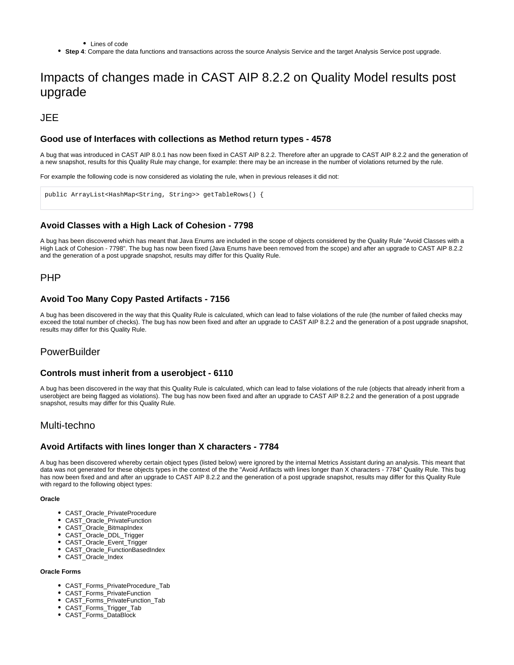• Lines of code

**Step 4**: Compare the data functions and transactions across the source Analysis Service and the target Analysis Service post upgrade.

## <span id="page-1-0"></span>Impacts of changes made in CAST AIP 8.2.2 on Quality Model results post upgrade

<span id="page-1-1"></span>JEE

### <span id="page-1-2"></span>**Good use of Interfaces with collections as Method return types - 4578**

A bug that was introduced in CAST AIP 8.0.1 has now been fixed in CAST AIP 8.2.2. Therefore after an upgrade to CAST AIP 8.2.2 and the generation of a new snapshot, results for this Quality Rule may change, for example: there may be an increase in the number of violations returned by the rule.

For example the following code is now considered as violating the rule, when in previous releases it did not:

public ArrayList<HashMap<String, String>> getTableRows() {

## <span id="page-1-3"></span>**Avoid Classes with a High Lack of Cohesion - 7798**

A bug has been discovered which has meant that Java Enums are included in the scope of objects considered by the Quality Rule "Avoid Classes with a High Lack of Cohesion - 7798". The bug has now been fixed (Java Enums have been removed from the scope) and after an upgrade to CAST AIP 8.2.2 and the generation of a post upgrade snapshot, results may differ for this Quality Rule.

## <span id="page-1-4"></span>PHP

### <span id="page-1-5"></span>**Avoid Too Many Copy Pasted Artifacts - 7156**

A bug has been discovered in the way that this Quality Rule is calculated, which can lead to false violations of the rule (the number of failed checks may exceed the total number of checks). The bug has now been fixed and after an upgrade to CAST AIP 8.2.2 and the generation of a post upgrade snapshot, results may differ for this Quality Rule.

## <span id="page-1-6"></span>**PowerBuilder**

#### <span id="page-1-7"></span>**Controls must inherit from a userobject - 6110**

A bug has been discovered in the way that this Quality Rule is calculated, which can lead to false violations of the rule (objects that already inherit from a userobject are being flagged as violations). The bug has now been fixed and after an upgrade to CAST AIP 8.2.2 and the generation of a post upgrade snapshot, results may differ for this Quality Rule.

## <span id="page-1-8"></span>Multi-techno

### <span id="page-1-9"></span>**Avoid Artifacts with lines longer than X characters - 7784**

A bug has been discovered whereby certain object types (listed below) were ignored by the internal Metrics Assistant during an analysis. This meant that data was not generated for these objects types in the context of the the "Avoid Artifacts with lines longer than X characters - 7784" Quality Rule. This bug has now been fixed and and after an upgrade to CAST AIP 8.2.2 and the generation of a post upgrade snapshot, results may differ for this Quality Rule with regard to the following object types:

#### **Oracle**

- CAST\_Oracle\_PrivateProcedure
- CAST\_Oracle\_PrivateFunction
- CAST\_Oracle\_BitmapIndex
- CAST\_Oracle\_DDL\_Trigger
- CAST\_Oracle\_Event\_Trigger
- $\bullet$ CAST\_Oracle\_FunctionBasedIndex
- CAST Oracle Index

#### **Oracle Forms**

- CAST\_Forms\_PrivateProcedure\_Tab
- CAST\_Forms\_PrivateFunction
- CAST\_Forms\_PrivateFunction\_Tab
- CAST\_Forms\_Trigger\_Tab
- CAST\_Forms\_DataBlock